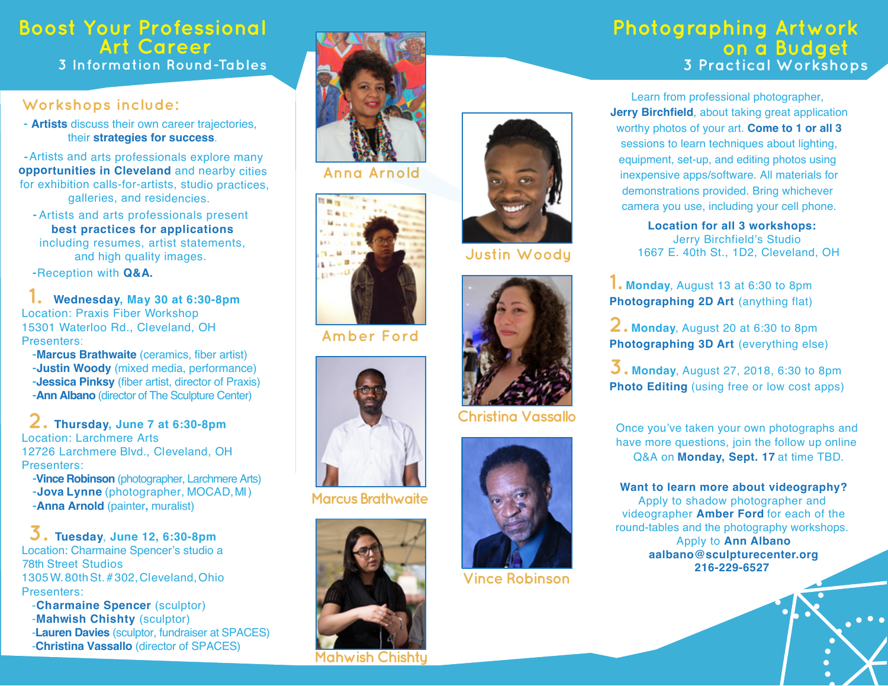# **Boost Your Professional Art Career**<br>3 Information Round-Tables

### **Workshops include:**

 **- Artists** discuss their own career trajectories, their **strategies for success**.

 **-**Artists and arts professionals explore many **opportunities in Cleveland** and nearby cities for exhibition calls-for-artists, studio practices, galleries, and residencies.

**-** Artists and arts professionals present **best practices for applications** including resumes, artist statements, and high quality images.

**-**Reception with **Q&A.**

 **1. Wednesday, May 30 at 6:30-8pm** Location: Praxis Fiber Workshop 15301 Waterloo Rd., Cleveland, OH Presenters:

**-Marcus Brathwaite** (ceramics, fiber artist) **-Justin Woody** (mixed media, performance) **-Jessica Pinksy** (fiber artist, director of Praxis) **-Ann Albano** (director of The Sculpture Center)

**2. Thursday, June 7 at 6:30-8pm** Location: Larchmere Arts 12726 Larchmere Blvd., Cleveland, OH Presenters:

**-Vince Robinson** (photographer, Larchmere Arts) **-Anna Arnold** (painter**,** muralist) **-Jova Lynne** (photographer, MOCAD, MI )

#### **3. Tuesday**, **June 12, 6:30-8pm** Location: Charmaine Spencer's studio a 78th Street Studios 1305W. 80thSt. # 302,Cleveland,Ohio Presenters:

-**Charmaine Spencer** (sculptor) -**Mahwish Chishty** (sculptor) -**Lauren Davies** (sculptor, fundraiser at SPACES) -**Christina Vassallo** (director of SPACES)



**Anna Arnold** 



**Amber Ford**



**Marcus Brathwaite**



**Mahwish Chishty** 

## **Photographing Artwork on a Budget 3 Information Round-Tables 3 Practical Workshops**

Learn from professional photographer, **Jerry Birchfield**, about taking great application worthy photos of your art. **Come to 1 or all 3** sessions to learn techniques about lighting, equipment, set-up, and editing photos using inexpensive apps/software. All materials for demonstrations provided. Bring whichever camera you use, including your cell phone.

> **Location for all 3 workshops:**  Jerry Birchfield's Studio 1667 E. 40th St., 1D2, Cleveland, OH

**1. Monday**, <sup>A</sup>ugust <sup>13</sup> at 6:30 t<sup>o</sup> 8pm **Photographing 2D Art** (anything flat)

**2. Monday**, <sup>A</sup>ugust <sup>20</sup> at 6:30 t<sup>o</sup> 8pm **Photographing 3D Art** (everything else)

**3. Monday**, <sup>A</sup>ugust 27, 2018, 6:30 t<sup>o</sup> 8pm **Photo Editing** (using free or low cost apps)

Once you've taken your own photographs and have more questions, join the follow up online Q&A on **Monday, Sept. 17** at time TBD.

**Want to learn more about videography?** Apply to shadow photographer and videographer **Amber Ford** for each of the round-tables and the photography workshops. Apply to **Ann Albano aalbano@sculpturecenter.org 216-229-6527** 



**Christina Vassallo** 



**Vince Robinson**